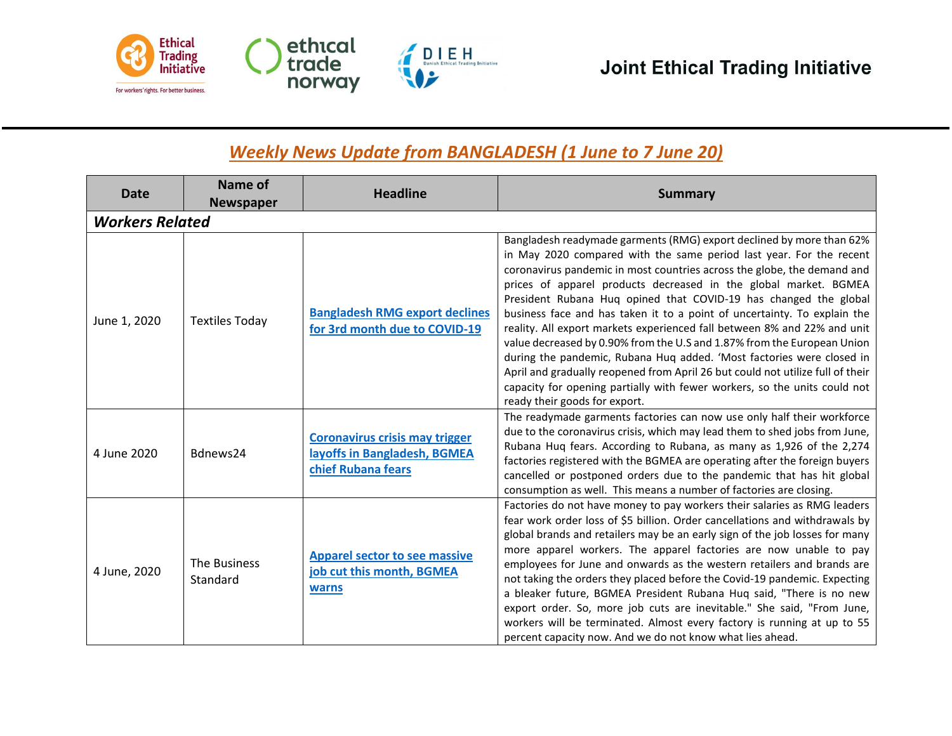

## *Weekly News Update from BANGLADESH (1 June to 7 June 20)*

| Date                   | Name of<br><b>Newspaper</b> | <b>Headline</b>                                                                             | <b>Summary</b>                                                                                                                                                                                                                                                                                                                                                                                                                                                                                                                                                                                                                                                                                                                                                                                                                                                             |
|------------------------|-----------------------------|---------------------------------------------------------------------------------------------|----------------------------------------------------------------------------------------------------------------------------------------------------------------------------------------------------------------------------------------------------------------------------------------------------------------------------------------------------------------------------------------------------------------------------------------------------------------------------------------------------------------------------------------------------------------------------------------------------------------------------------------------------------------------------------------------------------------------------------------------------------------------------------------------------------------------------------------------------------------------------|
| <b>Workers Related</b> |                             |                                                                                             |                                                                                                                                                                                                                                                                                                                                                                                                                                                                                                                                                                                                                                                                                                                                                                                                                                                                            |
| June 1, 2020           | <b>Textiles Today</b>       | <b>Bangladesh RMG export declines</b><br>for 3rd month due to COVID-19                      | Bangladesh readymade garments (RMG) export declined by more than 62%<br>in May 2020 compared with the same period last year. For the recent<br>coronavirus pandemic in most countries across the globe, the demand and<br>prices of apparel products decreased in the global market. BGMEA<br>President Rubana Huq opined that COVID-19 has changed the global<br>business face and has taken it to a point of uncertainty. To explain the<br>reality. All export markets experienced fall between 8% and 22% and unit<br>value decreased by 0.90% from the U.S and 1.87% from the European Union<br>during the pandemic, Rubana Huq added. 'Most factories were closed in<br>April and gradually reopened from April 26 but could not utilize full of their<br>capacity for opening partially with fewer workers, so the units could not<br>ready their goods for export. |
| 4 June 2020            | Bdnews24                    | <b>Coronavirus crisis may trigger</b><br>layoffs in Bangladesh, BGMEA<br>chief Rubana fears | The readymade garments factories can now use only half their workforce<br>due to the coronavirus crisis, which may lead them to shed jobs from June,<br>Rubana Huq fears. According to Rubana, as many as 1,926 of the 2,274<br>factories registered with the BGMEA are operating after the foreign buyers<br>cancelled or postponed orders due to the pandemic that has hit global<br>consumption as well. This means a number of factories are closing.                                                                                                                                                                                                                                                                                                                                                                                                                  |
| 4 June, 2020           | The Business<br>Standard    | <b>Apparel sector to see massive</b><br>job cut this month, BGMEA<br>warns                  | Factories do not have money to pay workers their salaries as RMG leaders<br>fear work order loss of \$5 billion. Order cancellations and withdrawals by<br>global brands and retailers may be an early sign of the job losses for many<br>more apparel workers. The apparel factories are now unable to pay<br>employees for June and onwards as the western retailers and brands are<br>not taking the orders they placed before the Covid-19 pandemic. Expecting<br>a bleaker future, BGMEA President Rubana Huq said, "There is no new<br>export order. So, more job cuts are inevitable." She said, "From June,<br>workers will be terminated. Almost every factory is running at up to 55<br>percent capacity now. And we do not know what lies ahead.                                                                                                                |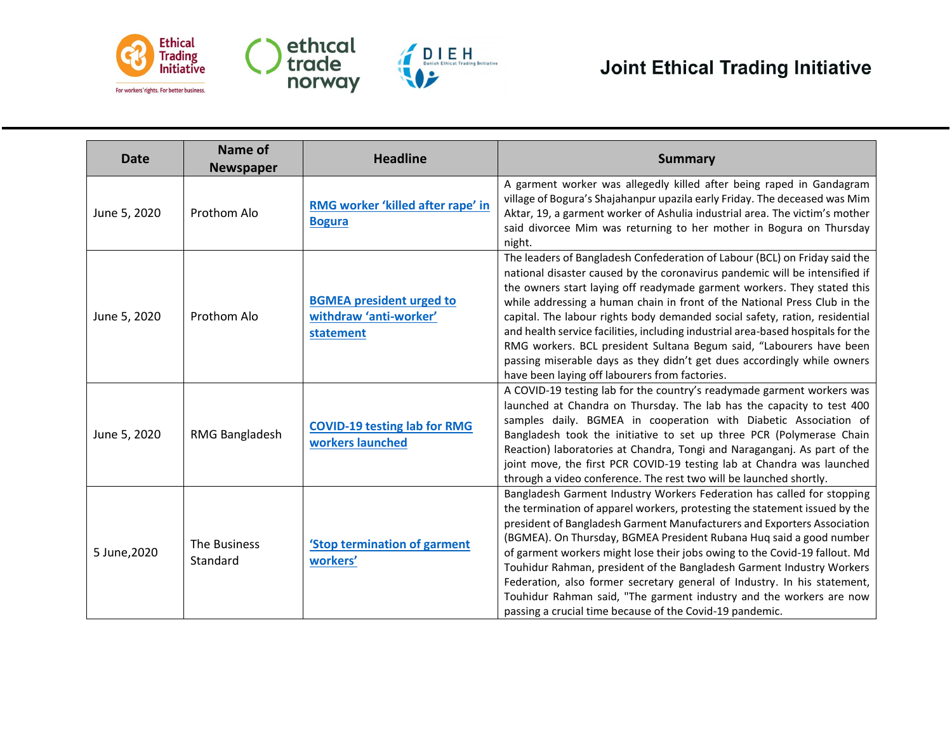

| <b>Date</b>  | Name of<br><b>Newspaper</b> | <b>Headline</b>                                                        | <b>Summary</b>                                                                                                                                                                                                                                                                                                                                                                                                                                                                                                                                                                                                                                                                           |
|--------------|-----------------------------|------------------------------------------------------------------------|------------------------------------------------------------------------------------------------------------------------------------------------------------------------------------------------------------------------------------------------------------------------------------------------------------------------------------------------------------------------------------------------------------------------------------------------------------------------------------------------------------------------------------------------------------------------------------------------------------------------------------------------------------------------------------------|
| June 5, 2020 | Prothom Alo                 | RMG worker 'killed after rape' in<br><b>Bogura</b>                     | A garment worker was allegedly killed after being raped in Gandagram<br>village of Bogura's Shajahanpur upazila early Friday. The deceased was Mim<br>Aktar, 19, a garment worker of Ashulia industrial area. The victim's mother<br>said divorcee Mim was returning to her mother in Bogura on Thursday<br>night.                                                                                                                                                                                                                                                                                                                                                                       |
| June 5, 2020 | Prothom Alo                 | <b>BGMEA president urged to</b><br>withdraw 'anti-worker'<br>statement | The leaders of Bangladesh Confederation of Labour (BCL) on Friday said the<br>national disaster caused by the coronavirus pandemic will be intensified if<br>the owners start laying off readymade garment workers. They stated this<br>while addressing a human chain in front of the National Press Club in the<br>capital. The labour rights body demanded social safety, ration, residential<br>and health service facilities, including industrial area-based hospitals for the<br>RMG workers. BCL president Sultana Begum said, "Labourers have been<br>passing miserable days as they didn't get dues accordingly while owners<br>have been laying off labourers from factories. |
| June 5, 2020 | RMG Bangladesh              | <b>COVID-19 testing lab for RMG</b><br>workers launched                | A COVID-19 testing lab for the country's readymade garment workers was<br>launched at Chandra on Thursday. The lab has the capacity to test 400<br>samples daily. BGMEA in cooperation with Diabetic Association of<br>Bangladesh took the initiative to set up three PCR (Polymerase Chain<br>Reaction) laboratories at Chandra, Tongi and Naraganganj. As part of the<br>joint move, the first PCR COVID-19 testing lab at Chandra was launched<br>through a video conference. The rest two will be launched shortly.                                                                                                                                                                  |
| 5 June, 2020 | The Business<br>Standard    | 'Stop termination of garment<br>workers'                               | Bangladesh Garment Industry Workers Federation has called for stopping<br>the termination of apparel workers, protesting the statement issued by the<br>president of Bangladesh Garment Manufacturers and Exporters Association<br>(BGMEA). On Thursday, BGMEA President Rubana Huq said a good number<br>of garment workers might lose their jobs owing to the Covid-19 fallout. Md<br>Touhidur Rahman, president of the Bangladesh Garment Industry Workers<br>Federation, also former secretary general of Industry. In his statement,<br>Touhidur Rahman said, "The garment industry and the workers are now<br>passing a crucial time because of the Covid-19 pandemic.             |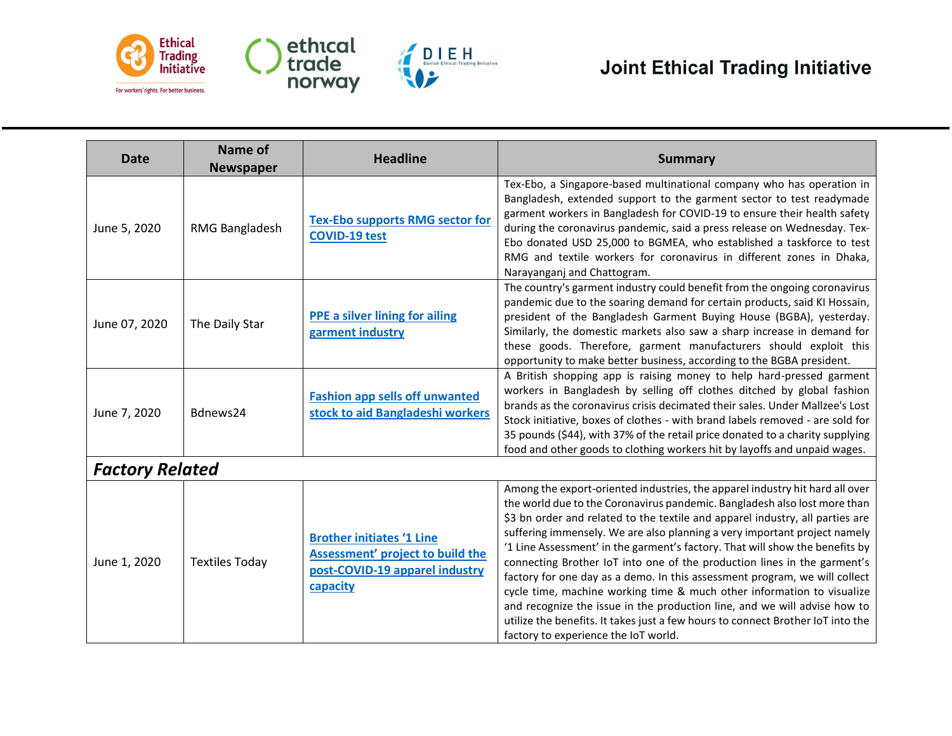

| <b>Date</b>   | Name of<br><b>Newspaper</b> | <b>Headline</b>                                                                                                    | <b>Summary</b>                                                                                                                                                                                                                                                                                                                                                                                                                                                                                                                                                                                                                                                                                                                                                                                                                                     |  |  |
|---------------|-----------------------------|--------------------------------------------------------------------------------------------------------------------|----------------------------------------------------------------------------------------------------------------------------------------------------------------------------------------------------------------------------------------------------------------------------------------------------------------------------------------------------------------------------------------------------------------------------------------------------------------------------------------------------------------------------------------------------------------------------------------------------------------------------------------------------------------------------------------------------------------------------------------------------------------------------------------------------------------------------------------------------|--|--|
| June 5, 2020  | RMG Bangladesh              | <b>Tex-Ebo supports RMG sector for</b><br><b>COVID-19 test</b>                                                     | Tex-Ebo, a Singapore-based multinational company who has operation in<br>Bangladesh, extended support to the garment sector to test readymade<br>garment workers in Bangladesh for COVID-19 to ensure their health safety<br>during the coronavirus pandemic, said a press release on Wednesday. Tex-<br>Ebo donated USD 25,000 to BGMEA, who established a taskforce to test<br>RMG and textile workers for coronavirus in different zones in Dhaka,<br>Narayanganj and Chattogram.                                                                                                                                                                                                                                                                                                                                                               |  |  |
| June 07, 2020 | The Daily Star              | <b>PPE a silver lining for ailing</b><br>garment industry                                                          | The country's garment industry could benefit from the ongoing coronavirus<br>pandemic due to the soaring demand for certain products, said KI Hossain,<br>president of the Bangladesh Garment Buying House (BGBA), yesterday.<br>Similarly, the domestic markets also saw a sharp increase in demand for<br>these goods. Therefore, garment manufacturers should exploit this<br>opportunity to make better business, according to the BGBA president.                                                                                                                                                                                                                                                                                                                                                                                             |  |  |
| June 7, 2020  | Bdnews24                    | <b>Fashion app sells off unwanted</b><br>stock to aid Bangladeshi workers                                          | A British shopping app is raising money to help hard-pressed garment<br>workers in Bangladesh by selling off clothes ditched by global fashion<br>brands as the coronavirus crisis decimated their sales. Under Mallzee's Lost<br>Stock initiative, boxes of clothes - with brand labels removed - are sold for<br>35 pounds (\$44), with 37% of the retail price donated to a charity supplying<br>food and other goods to clothing workers hit by layoffs and unpaid wages.                                                                                                                                                                                                                                                                                                                                                                      |  |  |
|               | <b>Factory Related</b>      |                                                                                                                    |                                                                                                                                                                                                                                                                                                                                                                                                                                                                                                                                                                                                                                                                                                                                                                                                                                                    |  |  |
| June 1, 2020  | <b>Textiles Today</b>       | <b>Brother initiates '1 Line</b><br>Assessment' project to build the<br>post-COVID-19 apparel industry<br>capacity | Among the export-oriented industries, the apparel industry hit hard all over<br>the world due to the Coronavirus pandemic. Bangladesh also lost more than<br>\$3 bn order and related to the textile and apparel industry, all parties are<br>suffering immensely. We are also planning a very important project namely<br>'1 Line Assessment' in the garment's factory. That will show the benefits by<br>connecting Brother IoT into one of the production lines in the garment's<br>factory for one day as a demo. In this assessment program, we will collect<br>cycle time, machine working time & much other information to visualize<br>and recognize the issue in the production line, and we will advise how to<br>utilize the benefits. It takes just a few hours to connect Brother IoT into the<br>factory to experience the IoT world |  |  |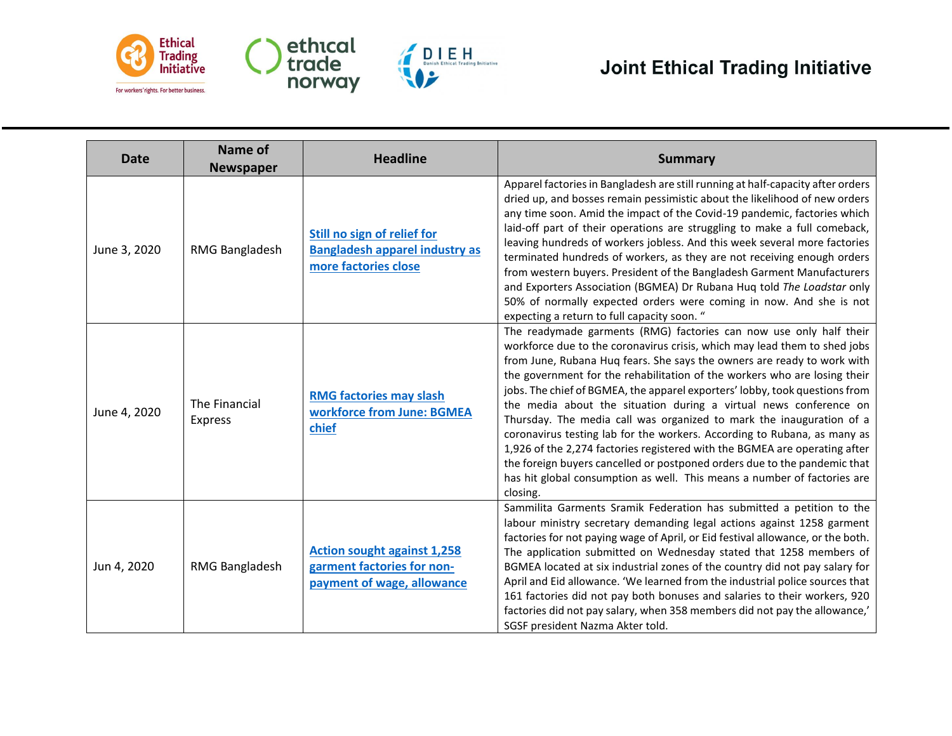

| Date         | Name of<br><b>Newspaper</b>     | <b>Headline</b>                                                                                | <b>Summary</b>                                                                                                                                                                                                                                                                                                                                                                                                                                                                                                                                                                                                                                                                                                                                                                                                                                                     |
|--------------|---------------------------------|------------------------------------------------------------------------------------------------|--------------------------------------------------------------------------------------------------------------------------------------------------------------------------------------------------------------------------------------------------------------------------------------------------------------------------------------------------------------------------------------------------------------------------------------------------------------------------------------------------------------------------------------------------------------------------------------------------------------------------------------------------------------------------------------------------------------------------------------------------------------------------------------------------------------------------------------------------------------------|
| June 3, 2020 | RMG Bangladesh                  | Still no sign of relief for<br>Bangladesh apparel industry as<br>more factories close          | Apparel factories in Bangladesh are still running at half-capacity after orders<br>dried up, and bosses remain pessimistic about the likelihood of new orders<br>any time soon. Amid the impact of the Covid-19 pandemic, factories which<br>laid-off part of their operations are struggling to make a full comeback,<br>leaving hundreds of workers jobless. And this week several more factories<br>terminated hundreds of workers, as they are not receiving enough orders<br>from western buyers. President of the Bangladesh Garment Manufacturers<br>and Exporters Association (BGMEA) Dr Rubana Huq told The Loadstar only<br>50% of normally expected orders were coming in now. And she is not<br>expecting a return to full capacity soon. "                                                                                                            |
| June 4, 2020 | The Financial<br><b>Express</b> | <b>RMG factories may slash</b><br>workforce from June: BGMEA<br>chief                          | The readymade garments (RMG) factories can now use only half their<br>workforce due to the coronavirus crisis, which may lead them to shed jobs<br>from June, Rubana Huq fears. She says the owners are ready to work with<br>the government for the rehabilitation of the workers who are losing their<br>jobs. The chief of BGMEA, the apparel exporters' lobby, took questions from<br>the media about the situation during a virtual news conference on<br>Thursday. The media call was organized to mark the inauguration of a<br>coronavirus testing lab for the workers. According to Rubana, as many as<br>1,926 of the 2,274 factories registered with the BGMEA are operating after<br>the foreign buyers cancelled or postponed orders due to the pandemic that<br>has hit global consumption as well. This means a number of factories are<br>closing. |
| Jun 4, 2020  | RMG Bangladesh                  | <b>Action sought against 1,258</b><br>garment factories for non-<br>payment of wage, allowance | Sammilita Garments Sramik Federation has submitted a petition to the<br>labour ministry secretary demanding legal actions against 1258 garment<br>factories for not paying wage of April, or Eid festival allowance, or the both.<br>The application submitted on Wednesday stated that 1258 members of<br>BGMEA located at six industrial zones of the country did not pay salary for<br>April and Eid allowance. 'We learned from the industrial police sources that<br>161 factories did not pay both bonuses and salaries to their workers, 920<br>factories did not pay salary, when 358 members did not pay the allowance,'<br>SGSF president Nazma Akter told.                                                                                                                                                                                              |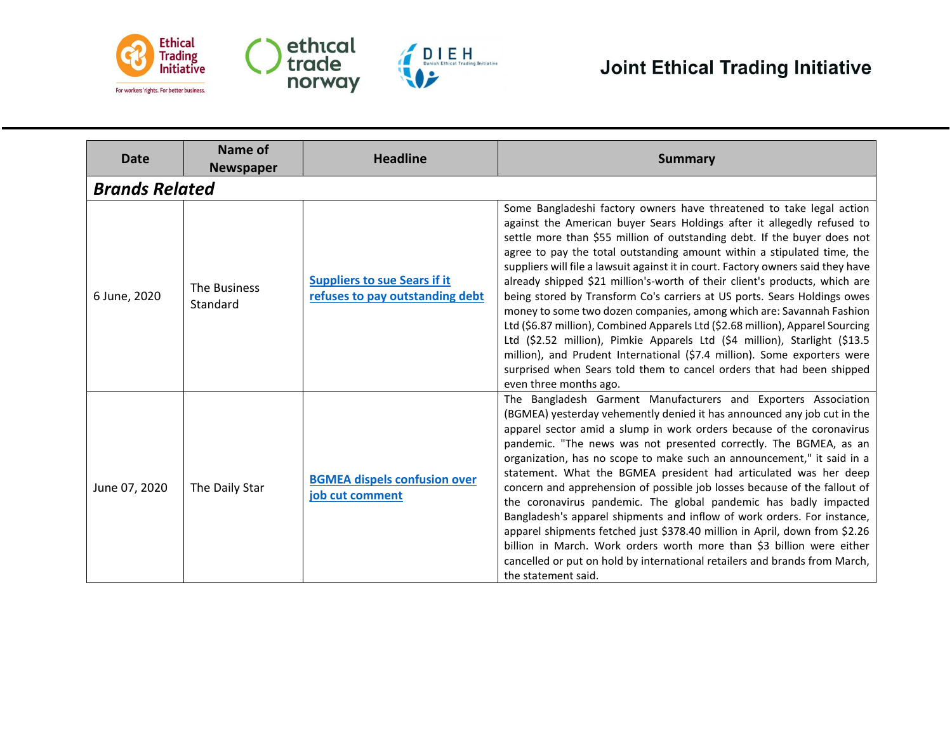

| <b>Date</b>           | Name of<br><b>Newspaper</b> | <b>Headline</b>                                                        | <b>Summary</b>                                                                                                                                                                                                                                                                                                                                                                                                                                                                                                                                                                                                                                                                                                                                                                                                                                                                                                                                                              |
|-----------------------|-----------------------------|------------------------------------------------------------------------|-----------------------------------------------------------------------------------------------------------------------------------------------------------------------------------------------------------------------------------------------------------------------------------------------------------------------------------------------------------------------------------------------------------------------------------------------------------------------------------------------------------------------------------------------------------------------------------------------------------------------------------------------------------------------------------------------------------------------------------------------------------------------------------------------------------------------------------------------------------------------------------------------------------------------------------------------------------------------------|
| <b>Brands Related</b> |                             |                                                                        |                                                                                                                                                                                                                                                                                                                                                                                                                                                                                                                                                                                                                                                                                                                                                                                                                                                                                                                                                                             |
| 6 June, 2020          | The Business<br>Standard    | <b>Suppliers to sue Sears if it</b><br>refuses to pay outstanding debt | Some Bangladeshi factory owners have threatened to take legal action<br>against the American buyer Sears Holdings after it allegedly refused to<br>settle more than \$55 million of outstanding debt. If the buyer does not<br>agree to pay the total outstanding amount within a stipulated time, the<br>suppliers will file a lawsuit against it in court. Factory owners said they have<br>already shipped \$21 million's-worth of their client's products, which are<br>being stored by Transform Co's carriers at US ports. Sears Holdings owes<br>money to some two dozen companies, among which are: Savannah Fashion<br>Ltd (\$6.87 million), Combined Apparels Ltd (\$2.68 million), Apparel Sourcing<br>Ltd (\$2.52 million), Pimkie Apparels Ltd (\$4 million), Starlight (\$13.5<br>million), and Prudent International (\$7.4 million). Some exporters were<br>surprised when Sears told them to cancel orders that had been shipped<br>even three months ago. |
| June 07, 2020         | The Daily Star              | <b>BGMEA dispels confusion over</b><br>job cut comment                 | The Bangladesh Garment Manufacturers and Exporters Association<br>(BGMEA) yesterday vehemently denied it has announced any job cut in the<br>apparel sector amid a slump in work orders because of the coronavirus<br>pandemic. "The news was not presented correctly. The BGMEA, as an<br>organization, has no scope to make such an announcement," it said in a<br>statement. What the BGMEA president had articulated was her deep<br>concern and apprehension of possible job losses because of the fallout of<br>the coronavirus pandemic. The global pandemic has badly impacted<br>Bangladesh's apparel shipments and inflow of work orders. For instance,<br>apparel shipments fetched just \$378.40 million in April, down from \$2.26<br>billion in March. Work orders worth more than \$3 billion were either<br>cancelled or put on hold by international retailers and brands from March,<br>the statement said.                                               |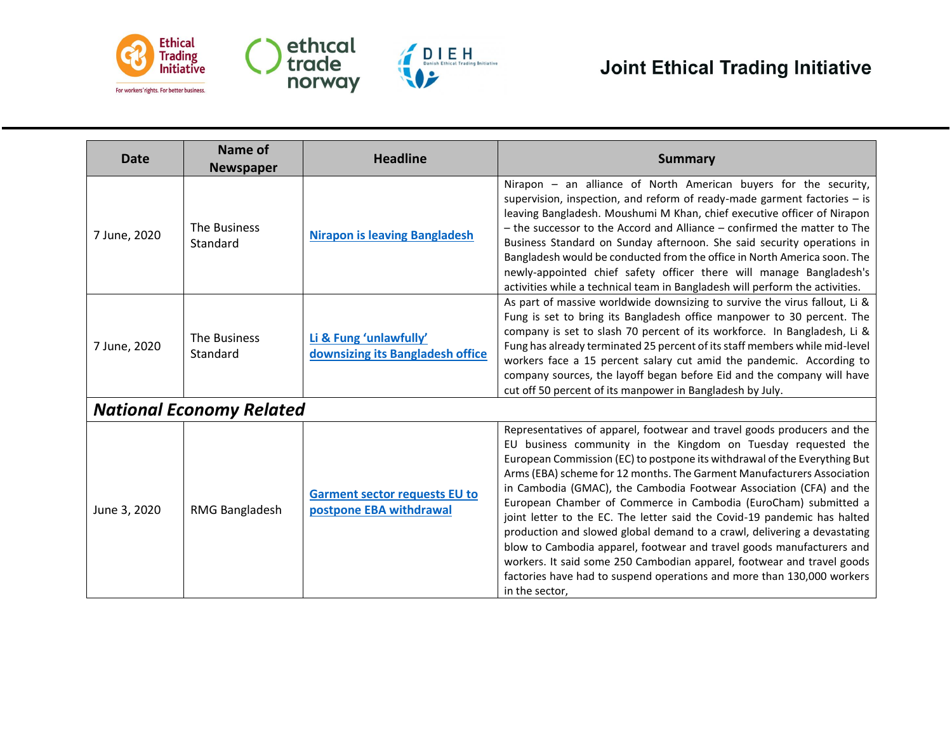

| Date         | Name of<br><b>Newspaper</b>     | <b>Headline</b>                                                 | <b>Summary</b>                                                                                                                                                                                                                                                                                                                                                                                                                                                                                                                                                                                                                                                                                                                                                                                                                                   |
|--------------|---------------------------------|-----------------------------------------------------------------|--------------------------------------------------------------------------------------------------------------------------------------------------------------------------------------------------------------------------------------------------------------------------------------------------------------------------------------------------------------------------------------------------------------------------------------------------------------------------------------------------------------------------------------------------------------------------------------------------------------------------------------------------------------------------------------------------------------------------------------------------------------------------------------------------------------------------------------------------|
| 7 June, 2020 | The Business<br>Standard        | <b>Nirapon is leaving Bangladesh</b>                            | Nirapon - an alliance of North American buyers for the security,<br>supervision, inspection, and reform of ready-made garment factories $-$ is<br>leaving Bangladesh. Moushumi M Khan, chief executive officer of Nirapon<br>- the successor to the Accord and Alliance - confirmed the matter to The<br>Business Standard on Sunday afternoon. She said security operations in<br>Bangladesh would be conducted from the office in North America soon. The<br>newly-appointed chief safety officer there will manage Bangladesh's<br>activities while a technical team in Bangladesh will perform the activities.                                                                                                                                                                                                                               |
| 7 June, 2020 | The Business<br>Standard        | Li & Fung 'unlawfully'<br>downsizing its Bangladesh office      | As part of massive worldwide downsizing to survive the virus fallout, Li &<br>Fung is set to bring its Bangladesh office manpower to 30 percent. The<br>company is set to slash 70 percent of its workforce. In Bangladesh, Li &<br>Fung has already terminated 25 percent of its staff members while mid-level<br>workers face a 15 percent salary cut amid the pandemic. According to<br>company sources, the layoff began before Eid and the company will have<br>cut off 50 percent of its manpower in Bangladesh by July.                                                                                                                                                                                                                                                                                                                   |
|              | <b>National Economy Related</b> |                                                                 |                                                                                                                                                                                                                                                                                                                                                                                                                                                                                                                                                                                                                                                                                                                                                                                                                                                  |
| June 3, 2020 | RMG Bangladesh                  | <b>Garment sector requests EU to</b><br>postpone EBA withdrawal | Representatives of apparel, footwear and travel goods producers and the<br>EU business community in the Kingdom on Tuesday requested the<br>European Commission (EC) to postpone its withdrawal of the Everything But<br>Arms (EBA) scheme for 12 months. The Garment Manufacturers Association<br>in Cambodia (GMAC), the Cambodia Footwear Association (CFA) and the<br>European Chamber of Commerce in Cambodia (EuroCham) submitted a<br>joint letter to the EC. The letter said the Covid-19 pandemic has halted<br>production and slowed global demand to a crawl, delivering a devastating<br>blow to Cambodia apparel, footwear and travel goods manufacturers and<br>workers. It said some 250 Cambodian apparel, footwear and travel goods<br>factories have had to suspend operations and more than 130,000 workers<br>in the sector, |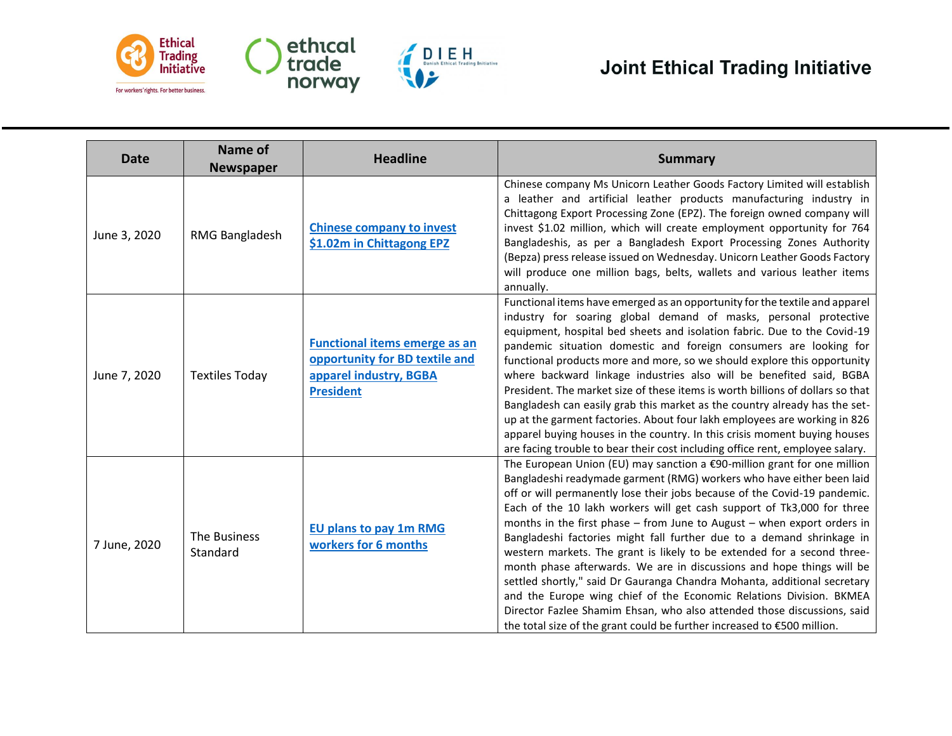

| <b>Date</b>  | <b>Name of</b><br><b>Newspaper</b> | <b>Headline</b>                                                                                                      | <b>Summary</b>                                                                                                                                                                                                                                                                                                                                                                                                                                                                                                                                                                                                                                                                                                                                                                                                                                                                                                                          |
|--------------|------------------------------------|----------------------------------------------------------------------------------------------------------------------|-----------------------------------------------------------------------------------------------------------------------------------------------------------------------------------------------------------------------------------------------------------------------------------------------------------------------------------------------------------------------------------------------------------------------------------------------------------------------------------------------------------------------------------------------------------------------------------------------------------------------------------------------------------------------------------------------------------------------------------------------------------------------------------------------------------------------------------------------------------------------------------------------------------------------------------------|
| June 3, 2020 | RMG Bangladesh                     | <b>Chinese company to invest</b><br>\$1.02m in Chittagong EPZ                                                        | Chinese company Ms Unicorn Leather Goods Factory Limited will establish<br>a leather and artificial leather products manufacturing industry in<br>Chittagong Export Processing Zone (EPZ). The foreign owned company will<br>invest \$1.02 million, which will create employment opportunity for 764<br>Bangladeshis, as per a Bangladesh Export Processing Zones Authority<br>(Bepza) press release issued on Wednesday. Unicorn Leather Goods Factory<br>will produce one million bags, belts, wallets and various leather items<br>annually.                                                                                                                                                                                                                                                                                                                                                                                         |
| June 7, 2020 | <b>Textiles Today</b>              | <b>Functional items emerge as an</b><br>opportunity for BD textile and<br>apparel industry, BGBA<br><b>President</b> | Functional items have emerged as an opportunity for the textile and apparel<br>industry for soaring global demand of masks, personal protective<br>equipment, hospital bed sheets and isolation fabric. Due to the Covid-19<br>pandemic situation domestic and foreign consumers are looking for<br>functional products more and more, so we should explore this opportunity<br>where backward linkage industries also will be benefited said, BGBA<br>President. The market size of these items is worth billions of dollars so that<br>Bangladesh can easily grab this market as the country already has the set-<br>up at the garment factories. About four lakh employees are working in 826<br>apparel buying houses in the country. In this crisis moment buying houses<br>are facing trouble to bear their cost including office rent, employee salary.                                                                          |
| 7 June, 2020 | The Business<br>Standard           | <b>EU plans to pay 1m RMG</b><br>workers for 6 months                                                                | The European Union (EU) may sanction a $\epsilon$ 90-million grant for one million<br>Bangladeshi readymade garment (RMG) workers who have either been laid<br>off or will permanently lose their jobs because of the Covid-19 pandemic.<br>Each of the 10 lakh workers will get cash support of Tk3,000 for three<br>months in the first phase $-$ from June to August $-$ when export orders in<br>Bangladeshi factories might fall further due to a demand shrinkage in<br>western markets. The grant is likely to be extended for a second three-<br>month phase afterwards. We are in discussions and hope things will be<br>settled shortly," said Dr Gauranga Chandra Mohanta, additional secretary<br>and the Europe wing chief of the Economic Relations Division. BKMEA<br>Director Fazlee Shamim Ehsan, who also attended those discussions, said<br>the total size of the grant could be further increased to €500 million. |